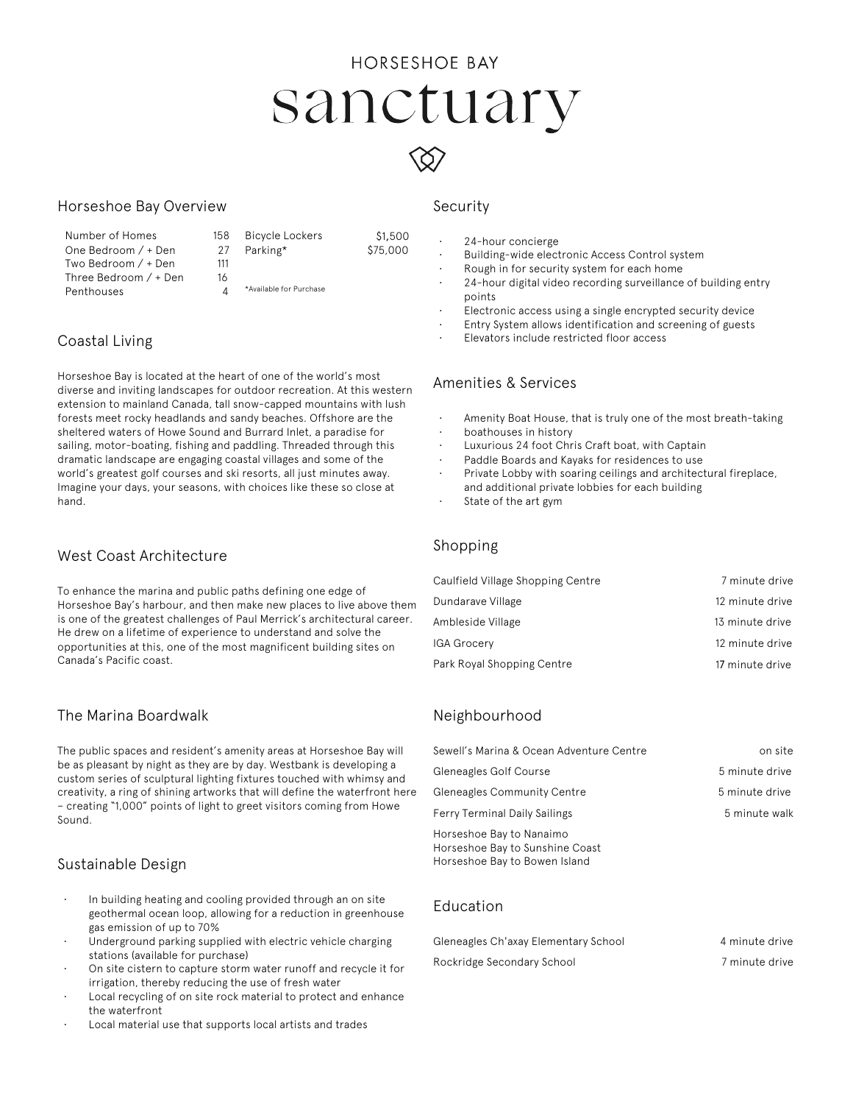# **HORSESHOE BAY** sanctuary

 $$1,500$ \$75,000

### Horseshoe Bay Overview

Number of Homes 15 One Bedroom / + Den 2 Two Bedroom / + Den 11 Three Bedroom / + Den 16 **Penthouses** 

| 8  | <b>Bicycle Lockers</b>  |  |
|----|-------------------------|--|
| '7 | Parking*                |  |
| 11 |                         |  |
| 6  |                         |  |
| Δ  | *Available for Purchase |  |

## Coastal Living

Horseshoe Bay is located at the heart of one of the world's most diverse and inviting landscapes for outdoor recreation. At this western extension to mainland Canada, tall snow-capped mountains with lush forests meet rocky headlands and sandy beaches. Offshore are the sheltered waters of Howe Sound and Burrard Inlet, a paradise for sailing, motor-boating, fishing and paddling. Threaded through this dramatic landscape are engaging coastal villages and some of the world's greatest golf courses and ski resorts, all just minutes away. Imagine your days, your seasons, with choices like these so close at hand.

## West Coast Architecture

To enhance the marina and public paths defining one edge of Horseshoe Bay's harbour, and then make new places to live above them is one of the greatest challenges of Paul Merrick's architectural career. He drew on a lifetime of experience to understand and solve the opportunities at this, one of the most magnificent building sites on Canada's Pacific coast.

## The Marina Boardwalk

The public spaces and resident's amenity areas at Horseshoe Bay will be as pleasant by night as they are by day. Westbank is developing a custom series of sculptural lighting fixtures touched with whimsy and creativity, a ring of shining artworks that will define the waterfront here – creating "1,000" points of light to greet visitors coming from Howe Sound.

## Sustainable Design

- In building heating and cooling provided through an on site geothermal ocean loop, allowing for a reduction in greenhouse gas emission of up to 70%
- Underground parking supplied with electric vehicle charging stations (available for purchase)
- On site cistern to capture storm water runoff and recycle it for irrigation, thereby reducing the use of fresh water
- Local recycling of on site rock material to protect and enhance the waterfront
- Local material use that supports local artists and trades

### Security

- 24-hour concierge
- Building-wide electronic Access Control system
- Rough in for security system for each home
- 24-hour digital video recording surveillance of building entry points
- Electronic access using a single encrypted security device
- Entry System allows identification and screening of guests
- Elevators include restricted floor access

## Amenities & Services

- Amenity Boat House, that is truly one of the most breath-taking
- boathouses in history
- Luxurious 24 foot Chris Craft boat, with Captain
- Paddle Boards and Kayaks for residences to use
- Private Lobby with soaring ceilings and architectural fireplace, and additional private lobbies for each building
- State of the art gym

#### Shopping

| Caulfield Village Shopping Centre | 7 minute drive  |
|-----------------------------------|-----------------|
| Dundarave Village                 | 12 minute drive |
| Ambleside Village                 | 13 minute drive |
| IGA Grocery                       | 12 minute drive |
| Park Royal Shopping Centre        | 17 minute drive |

## Neighbourhood

| Sewell's Marina & Ocean Adventure Centre                                                     | on site        |
|----------------------------------------------------------------------------------------------|----------------|
| Gleneagles Golf Course                                                                       | 5 minute drive |
| <b>Gleneagles Community Centre</b>                                                           | 5 minute drive |
| <b>Ferry Terminal Daily Sailings</b>                                                         | 5 minute walk  |
| Horseshoe Bay to Nanaimo<br>Horseshoe Bay to Sunshine Coast<br>Horseshoe Bay to Bowen Island |                |

#### Education

| Gleneagles Ch'axay Elementary School | 4 minute drive |
|--------------------------------------|----------------|
| Rockridge Secondary School           | 7 minute drive |